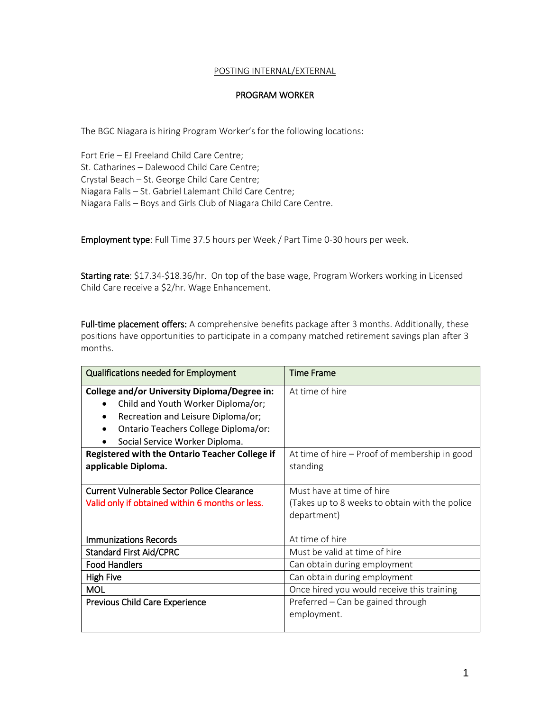## POSTING INTERNAL/EXTERNAL

## PROGRAM WORKER

The BGC Niagara is hiring Program Worker's for the following locations:

Fort Erie – EJ Freeland Child Care Centre; St. Catharines – Dalewood Child Care Centre; Crystal Beach – St. George Child Care Centre; Niagara Falls – St. Gabriel Lalemant Child Care Centre; Niagara Falls – Boys and Girls Club of Niagara Child Care Centre.

Employment type: Full Time 37.5 hours per Week / Part Time 0-30 hours per week.

Starting rate: \$17.34-\$18.36/hr. On top of the base wage, Program Workers working in Licensed Child Care receive a \$2/hr. Wage Enhancement.

Full-time placement offers: A comprehensive benefits package after 3 months. Additionally, these positions have opportunities to participate in a company matched retirement savings plan after 3 months.

| <b>Qualifications needed for Employment</b>                                                                                                                                                                          | <b>Time Frame</b>                                                                          |
|----------------------------------------------------------------------------------------------------------------------------------------------------------------------------------------------------------------------|--------------------------------------------------------------------------------------------|
| College and/or University Diploma/Degree in:<br>Child and Youth Worker Diploma/or;<br>$\bullet$<br>Recreation and Leisure Diploma/or;<br>٠<br>Ontario Teachers College Diploma/or:<br>Social Service Worker Diploma. | At time of hire                                                                            |
| <b>Registered with the Ontario Teacher College if</b><br>applicable Diploma.                                                                                                                                         | At time of hire – Proof of membership in good<br>standing                                  |
| <b>Current Vulnerable Sector Police Clearance</b><br>Valid only if obtained within 6 months or less.                                                                                                                 | Must have at time of hire<br>(Takes up to 8 weeks to obtain with the police<br>department) |
| <b>Immunizations Records</b>                                                                                                                                                                                         | At time of hire                                                                            |
| <b>Standard First Aid/CPRC</b>                                                                                                                                                                                       | Must be valid at time of hire                                                              |
| <b>Food Handlers</b>                                                                                                                                                                                                 | Can obtain during employment                                                               |
| <b>High Five</b>                                                                                                                                                                                                     | Can obtain during employment                                                               |
| <b>MOL</b>                                                                                                                                                                                                           | Once hired you would receive this training                                                 |
| Previous Child Care Experience                                                                                                                                                                                       | Preferred – Can be gained through<br>employment.                                           |